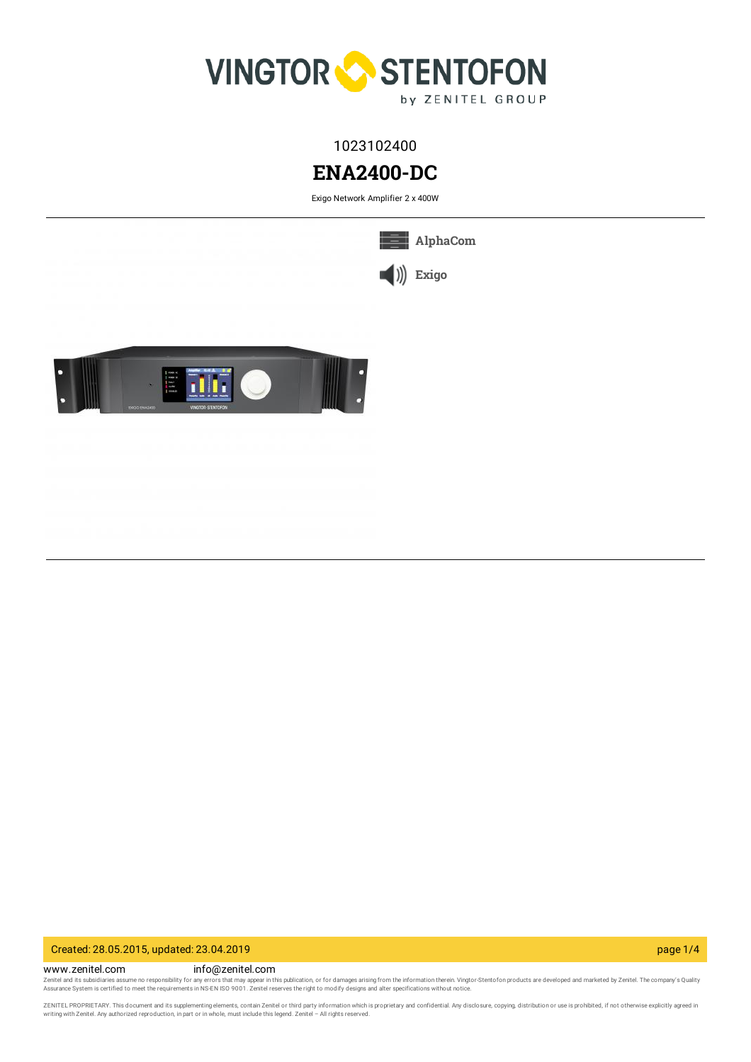

1023102400

# **ENA2400-DC**

Exigo Network Amplifier 2 x 400W

**[AlphaCom](https://www.zenitel.com/technology/alphacom)**



Created: 28.05.2015, updated: 23.04.2019 page 1/4

www.zenitel.com info@zenitel.com Zenitel and its subsidiaries assume no responsibility for any errors that may appear in this publication, or for damages arising from the information therein. Vingtor-Stentofon products are developed and marketed by Zenite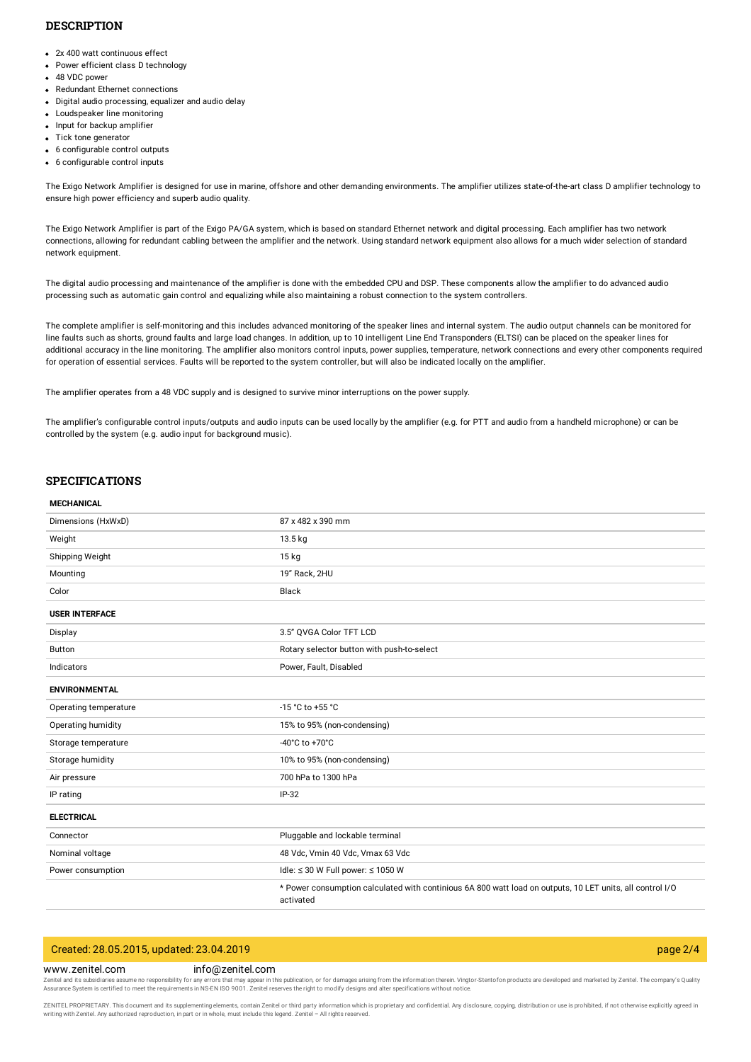## **DESCRIPTION**

- 2x 400 watt continuous effect
- Power efficient class D technology
- 48 VDC power
- Redundant Ethernet connections
- Digital audio processing, equalizer and audio delay
- Loudspeaker line monitoring
- Input for backup amplifier
- Tick tone generator
- 6 configurable control outputs
- 6 configurable control inputs

The Exigo Network Amplifier is designed for use in marine, offshore and other demanding environments. The amplifier utilizes state-of-the-art class D amplifier technology to ensure high power efficiency and superb audio quality.

The Exigo Network Amplifier is part of the Exigo PA/GA system, which is based on standard Ethernet network and digital processing. Each amplifier has two network connections, allowing for redundant cabling between the amplifier and the network. Using standard network equipment also allows for a much wider selection of standard network equipment.

The digital audio processing and maintenance of the amplifier is done with the embedded CPU and DSP. These components allow the amplifier to do advanced audio processing such as automatic gain control and equalizing while also maintaining a robust connection to the system controllers.

The complete amplifier is self-monitoring and this includes advanced monitoring of the speaker lines and internal system. The audio output channels can be monitored for line faults such as shorts, ground faults and large load changes. In addition, up to 10 intelligent Line End Transponders (ELTSI) can be placed on the speaker lines for additional accuracy in the line monitoring. The amplifier also monitors control inputs, power supplies, temperature, network connections and every other components required for operation of essential services. Faults will be reported to the system controller, but will also be indicated locally on the amplifier.

The amplifier operates from a 48 VDC supply and is designed to survive minor interruptions on the power supply.

The amplifier's configurable control inputs/outputs and audio inputs can be used locally by the amplifier (e.g. for PTT and audio from a handheld microphone) or can be controlled by the system (e.g. audio input for background music).

## **SPECIFICATIONS**

#### **MECHANICAL**

| Dimensions (HxWxD)    | 87 x 482 x 390 mm                                                                                                      |
|-----------------------|------------------------------------------------------------------------------------------------------------------------|
| Weight                | 13.5 kg                                                                                                                |
| Shipping Weight       | $15$ kg                                                                                                                |
| Mounting              | 19" Rack, 2HU                                                                                                          |
| Color                 | Black                                                                                                                  |
| <b>USER INTERFACE</b> |                                                                                                                        |
| Display               | 3.5" QVGA Color TFT LCD                                                                                                |
| Button                | Rotary selector button with push-to-select                                                                             |
| Indicators            | Power, Fault, Disabled                                                                                                 |
| <b>ENVIRONMENTAL</b>  |                                                                                                                        |
| Operating temperature | -15 °C to +55 °C                                                                                                       |
| Operating humidity    | 15% to 95% (non-condensing)                                                                                            |
| Storage temperature   | -40°C to +70°C                                                                                                         |
| Storage humidity      | 10% to 95% (non-condensing)                                                                                            |
| Air pressure          | 700 hPa to 1300 hPa                                                                                                    |
| IP rating             | $IP-32$                                                                                                                |
| <b>ELECTRICAL</b>     |                                                                                                                        |
| Connector             | Pluggable and lockable terminal                                                                                        |
| Nominal voltage       | 48 Vdc, Vmin 40 Vdc, Vmax 63 Vdc                                                                                       |
| Power consumption     | Idle: $\leq$ 30 W Full power: $\leq$ 1050 W                                                                            |
|                       | * Power consumption calculated with continious 6A 800 watt load on outputs, 10 LET units, all control I/O<br>activated |

# Created: 28.05.2015, updated: 23.04.2019 page 2/4

www.zenitel.com info@zenitel.com Zenitel and its subsidiaries assume no responsibility for any errors that may appear in this publication, or for damages arising from the information therein. Vingtor-Stentofon products are developed and marketed by Zenite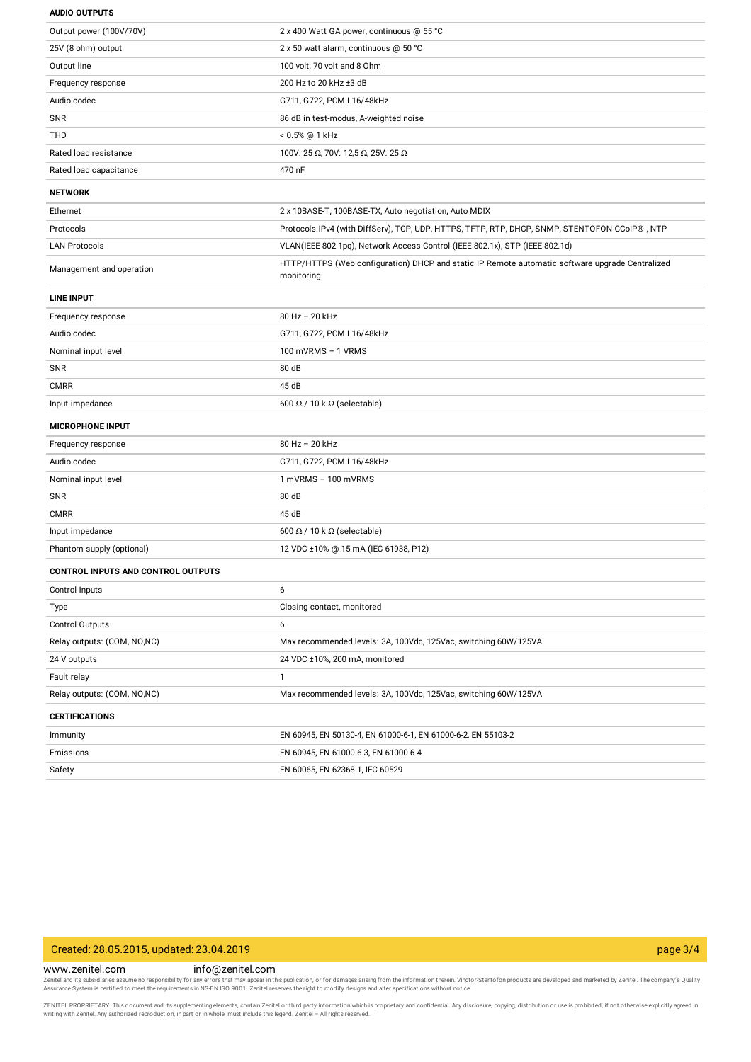| <b>AUDIO OUTPUTS</b> |
|----------------------|
|                      |

| Output power (100V/70V)                   | 2 x 400 Watt GA power, continuous @ 55 °C                                                                     |
|-------------------------------------------|---------------------------------------------------------------------------------------------------------------|
| 25V (8 ohm) output                        | 2 x 50 watt alarm, continuous @ 50 °C                                                                         |
| Output line                               | 100 volt, 70 volt and 8 Ohm                                                                                   |
| Frequency response                        | 200 Hz to 20 kHz ±3 dB                                                                                        |
| Audio codec                               | G711, G722, PCM L16/48kHz                                                                                     |
| SNR                                       | 86 dB in test-modus, A-weighted noise                                                                         |
| <b>THD</b>                                | < 0.5% @ 1 kHz                                                                                                |
| Rated load resistance                     | 100V: 25 Ω, 70V: 12,5 Ω, 25V: 25 Ω                                                                            |
| Rated load capacitance                    | 470 nF                                                                                                        |
| <b>NETWORK</b>                            |                                                                                                               |
| Ethernet                                  | 2 x 10BASE-T, 100BASE-TX, Auto negotiation, Auto MDIX                                                         |
| Protocols                                 | Protocols IPv4 (with DiffServ), TCP, UDP, HTTPS, TFTP, RTP, DHCP, SNMP, STENTOFON CCoIP®, NTP                 |
| <b>LAN Protocols</b>                      | VLAN(IEEE 802.1pq), Network Access Control (IEEE 802.1x), STP (IEEE 802.1d)                                   |
| Management and operation                  | HTTP/HTTPS (Web configuration) DHCP and static IP Remote automatic software upgrade Centralized<br>monitoring |
| <b>LINE INPUT</b>                         |                                                                                                               |
| Frequency response                        | 80 Hz - 20 kHz                                                                                                |
| Audio codec                               | G711, G722, PCM L16/48kHz                                                                                     |
| Nominal input level                       | 100 mVRMS - 1 VRMS                                                                                            |
| SNR                                       | 80 dB                                                                                                         |
| <b>CMRR</b>                               | 45 dB                                                                                                         |
| Input impedance                           | 600 $\Omega$ / 10 k $\Omega$ (selectable)                                                                     |
| <b>MICROPHONE INPUT</b>                   |                                                                                                               |
| Frequency response                        | 80 Hz - 20 kHz                                                                                                |
| Audio codec                               | G711, G722, PCM L16/48kHz                                                                                     |
| Nominal input level                       | $1$ mVRMS $-100$ mVRMS                                                                                        |
| SNR                                       | 80 dB                                                                                                         |
| <b>CMRR</b>                               | 45 dB                                                                                                         |
| Input impedance                           | 600 $\Omega$ / 10 k $\Omega$ (selectable)                                                                     |
| Phantom supply (optional)                 | 12 VDC ±10% @ 15 mA (IEC 61938, P12)                                                                          |
| <b>CONTROL INPUTS AND CONTROL OUTPUTS</b> |                                                                                                               |
| Control Inputs                            | 6                                                                                                             |
| Type                                      | Closing contact, monitored                                                                                    |
| Control Outputs                           | 6                                                                                                             |
| Relay outputs: (COM, NO,NC)               | Max recommended levels: 3A, 100Vdc, 125Vac, switching 60W/125VA                                               |
| 24 V outputs                              | 24 VDC ±10%, 200 mA, monitored                                                                                |
| Fault relay                               | $\mathbf{1}$                                                                                                  |
| Relay outputs: (COM, NO,NC)               | Max recommended levels: 3A, 100Vdc, 125Vac, switching 60W/125VA                                               |
| <b>CERTIFICATIONS</b>                     |                                                                                                               |
| Immunity                                  | EN 60945, EN 50130-4, EN 61000-6-1, EN 61000-6-2, EN 55103-2                                                  |
| Emissions                                 | EN 60945, EN 61000-6-3, EN 61000-6-4                                                                          |
| Safety                                    | EN 60065, EN 62368-1, IEC 60529                                                                               |

## Created: 28.05.2015, updated: 23.04.2019 page 3/4

www.zenitel.com info@zenitel.com

Zenitel and its subsidiaries assume no responsibility for any errors that may appear in this publication, or for damages arising from the information therein. Vingtor-Stentofon products are developed and marketed by Zenite